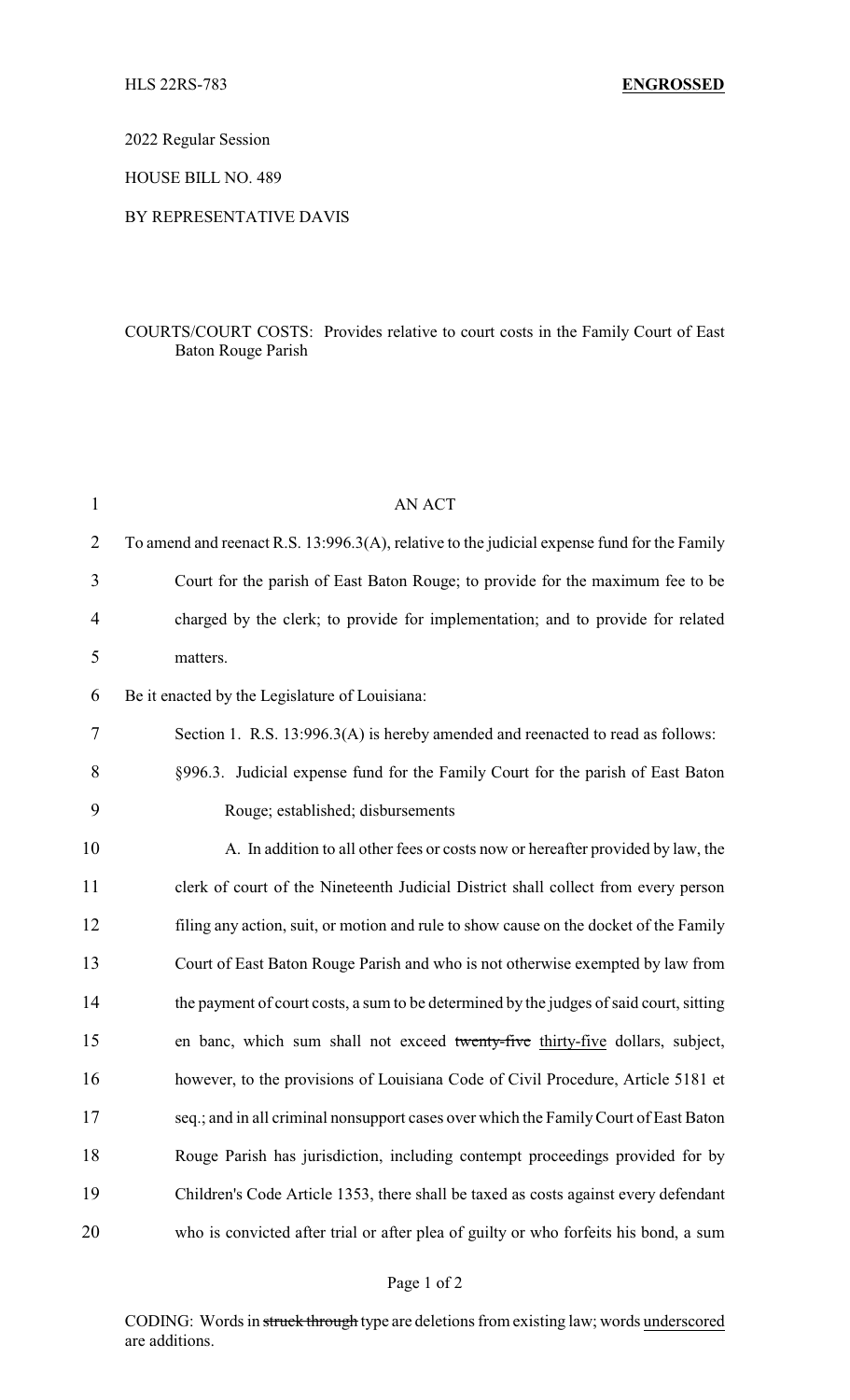2022 Regular Session

HOUSE BILL NO. 489

## BY REPRESENTATIVE DAVIS

## COURTS/COURT COSTS: Provides relative to court costs in the Family Court of East Baton Rouge Parish

| 1  | <b>AN ACT</b>                                                                               |
|----|---------------------------------------------------------------------------------------------|
| 2  | To amend and reenact R.S. 13:996.3(A), relative to the judicial expense fund for the Family |
| 3  | Court for the parish of East Baton Rouge; to provide for the maximum fee to be              |
| 4  | charged by the clerk; to provide for implementation; and to provide for related             |
| 5  | matters.                                                                                    |
| 6  | Be it enacted by the Legislature of Louisiana:                                              |
| 7  | Section 1. R.S. 13:996.3(A) is hereby amended and reenacted to read as follows:             |
| 8  | §996.3. Judicial expense fund for the Family Court for the parish of East Baton             |
| 9  | Rouge; established; disbursements                                                           |
| 10 | A. In addition to all other fees or costs now or hereafter provided by law, the             |
| 11 | clerk of court of the Nineteenth Judicial District shall collect from every person          |
| 12 | filing any action, suit, or motion and rule to show cause on the docket of the Family       |
| 13 | Court of East Baton Rouge Parish and who is not otherwise exempted by law from              |
| 14 | the payment of court costs, a sum to be determined by the judges of said court, sitting     |
| 15 | en banc, which sum shall not exceed twenty-five thirty-five dollars, subject,               |
| 16 | however, to the provisions of Louisiana Code of Civil Procedure, Article 5181 et            |
| 17 | seq.; and in all criminal nonsupport cases over which the Family Court of East Baton        |
| 18 | Rouge Parish has jurisdiction, including contempt proceedings provided for by               |
| 19 | Children's Code Article 1353, there shall be taxed as costs against every defendant         |
| 20 | who is convicted after trial or after plea of guilty or who forfeits his bond, a sum        |

## Page 1 of 2

CODING: Words in struck through type are deletions from existing law; words underscored are additions.